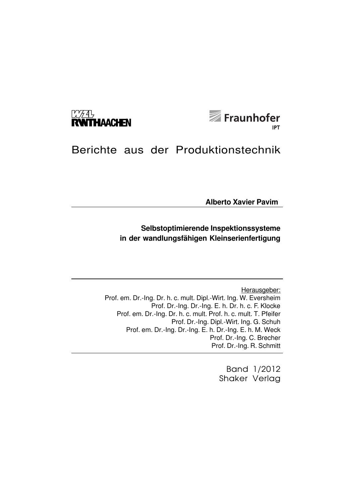



# Berichte aus der Produktionstechnik

**Alberto Xavier Pavim**

# **Selbstoptimierende Inspektionssysteme in der wandlungsfähigen Kleinserienfertigung**

Herausgeber: Prof. em. Dr.-Ing. Dr. h. c. mult. Dipl.-Wirt. Ing. W. Eversheim Prof. Dr.-Ing. Dr.-Ing. E. h. Dr. h. c. F. Klocke Prof. em. Dr.-Ing. Dr. h. c. mult. Prof. h. c. mult. T. Pfeifer Prof. Dr.-Ing. Dipl.-Wirt. Ing. G. Schuh Prof. em. Dr.-Ing. Dr.-Ing. E. h. Dr.-Ing. E. h. M. Weck Prof. Dr.-Ing. C. Brecher Prof. Dr.-Ing. R. Schmitt

> Band 1/2012 Shaker Verlag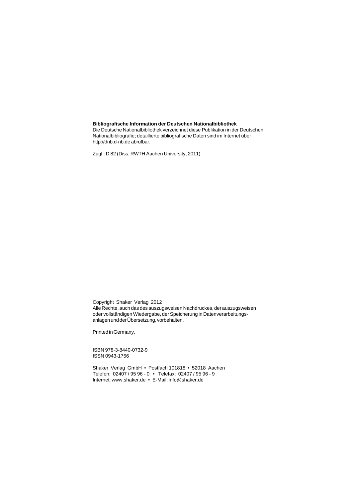#### **Bibliografische Information der Deutschen Nationalbibliothek**

Die Deutsche Nationalbibliothek verzeichnet diese Publikation in der Deutschen Nationalbibliografie; detaillierte bibliografische Daten sind im Internet über http://dnb.d-nb.de abrufbar.

Zugl.: D 82 (Diss. RWTH Aachen University, 2011)

Copyright Shaker Verlag 2012 Alle Rechte, auch das des auszugsweisen Nachdruckes, der auszugsweisen oder vollständigen Wiedergabe, der Speicherung in Datenverarbeitungsanlagen und der Übersetzung, vorbehalten.

Printed in Germany.

ISBN 978-3-8440-0732-9 ISSN 0943-1756

Shaker Verlag GmbH • Postfach 101818 • 52018 Aachen Telefon: 02407 / 95 96 - 0 • Telefax: 02407 / 95 96 - 9 Internet: www.shaker.de • E-Mail: info@shaker.de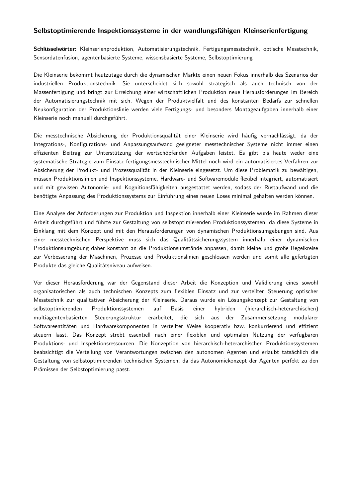## **Selbstoptimierende Inspektionssysteme in der wandlungsfähigen Kleinserienfertigung**

**Schlüsselwörter:** Kleinserienproduktion, Automatisierungstechnik, Fertigungsmesstechnik, optische Messtechnik, Sensordatenfusion, agentenbasierte Systeme, wissensbasierte Systeme, Selbstoptimierung

Die Kleinserie bekommt heutzutage durch die dynamischen Märkte einen neuen Fokus innerhalb des Szenarios der industriellen Produktionstechnik. Sie unterscheidet sich sowohl strategisch als auch technisch von der Massenfertigung und bringt zur Erreichung einer wirtschaftlichen Produktion neue Herausforderungen im Bereich der Automatisierungstechnik mit sich. Wegen der Produktvielfalt und des konstanten Bedarfs zur schnellen Neukonfiguration der Produktionslinie werden viele Fertigungs- und besonders Montageaufgaben innerhalb einer Kleinserie noch manuell durchgeführt.

Die messtechnische Absicherung der Produktionsqualität einer Kleinserie wird häufig vernachlässigt, da der Integrations-, Konfigurations- und Anpassungsaufwand geeigneter messtechnischer Systeme nicht immer einen effizienten Beitrag zur Unterstützung der wertschöpfenden Aufgaben leistet. Es gibt bis heute weder eine systematische Strategie zum Einsatz fertigungsmesstechnischer Mittel noch wird ein automatisiertes Verfahren zur Absicherung der Produkt- und Prozessqualität in der Kleinserie eingesetzt. Um diese Problematik zu bewältigen, müssen Produktionslinien und Inspektionssysteme, Hardware- und Softwaremodule flexibel integriert, automatisiert und mit gewissen Autonomie- und Kognitionsfähigkeiten ausgestattet werden, sodass der Rüstaufwand und die benötigte Anpassung des Produktionssystems zur Einführung eines neuen Loses minimal gehalten werden können.

Eine Analyse der Anforderungen zur Produktion und Inspektion innerhalb einer Kleinserie wurde im Rahmen dieser Arbeit durchgeführt und führte zur Gestaltung von selbstoptimierenden Produktionssystemen, da diese Systeme in Einklang mit dem Konzept und mit den Herausforderungen von dynamischen Produktionsumgebungen sind. Aus einer messtechnischen Perspektive muss sich das Qualitätssicherungssystem innerhalb einer dynamischen Produktionsumgebung daher konstant an die Produktionsumstände anpassen, damit kleine und große Regelkreise zur Verbesserung der Maschinen, Prozesse und Produktionslinien geschlossen werden und somit alle gefertigten Produkte das gleiche Qualitätsniveau aufweisen.

Vor dieser Herausforderung war der Gegenstand dieser Arbeit die Konzeption und Validierung eines sowohl organisatorischen als auch technischen Konzepts zum flexiblen Einsatz und zur verteilten Steuerung optischer Messtechnik zur qualitativen Absicherung der Kleinserie. Daraus wurde ein Lösungskonzept zur Gestaltung von selbstoptimierenden Produktionssystemen auf Basis einer hybriden (hierarchisch-heterarchischen) multiagentenbasierten Steuerungsstruktur erarbeitet, die sich aus der Zusammensetzung modularer Softwareentitäten und Hardwarekomponenten in verteilter Weise kooperativ bzw. konkurrierend und effizient steuern lässt. Das Konzept strebt essentiell nach einer flexiblen und optimalen Nutzung der verfügbaren Produktions- und Inspektionsressourcen. Die Konzeption von hierarchisch-heterarchischen Produktionssystemen beabsichtigt die Verteilung von Verantwortungen zwischen den autonomen Agenten und erlaubt tatsächlich die Gestaltung von selbstoptimierenden technischen Systemen, da das Autonomiekonzept der Agenten perfekt zu den Prämissen der Selbstoptimierung passt.